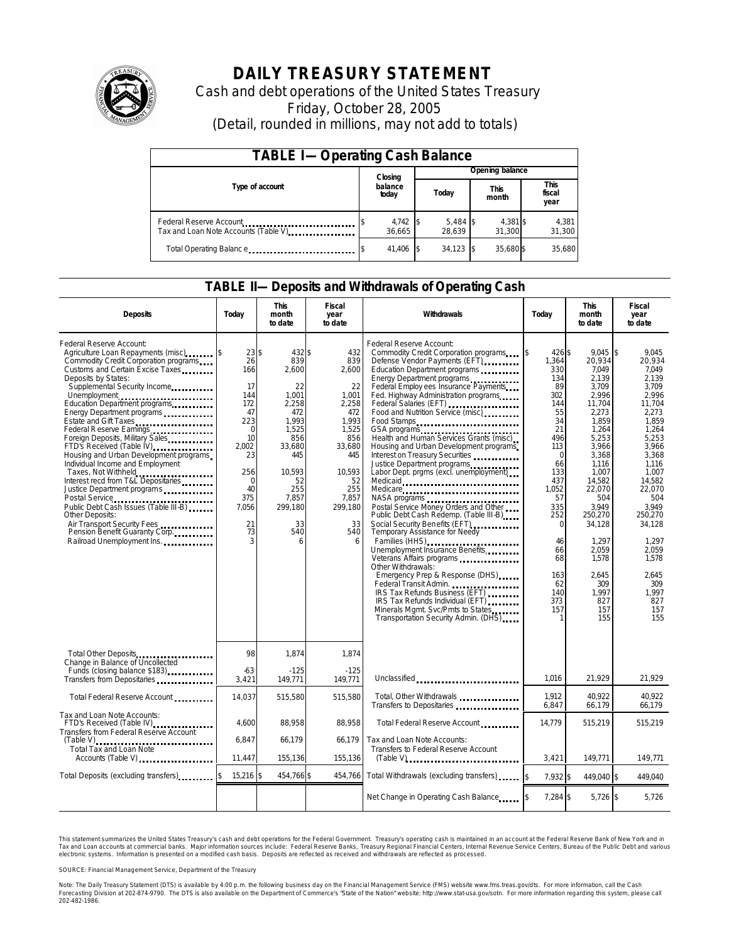

# **DAILY TREASURY STATEMENT**

Cash and debt operations of the United States Treasury Friday, October 28, 2005 (Detail, rounded in millions, may not add to totals)

| <b>TABLE I-Operating Cash Balance</b>                           |         |                      |                 |                      |  |                      |  |                               |
|-----------------------------------------------------------------|---------|----------------------|-----------------|----------------------|--|----------------------|--|-------------------------------|
|                                                                 | Closing |                      | Opening balance |                      |  |                      |  |                               |
| Type of account                                                 |         | balance<br>today     |                 | Today                |  | <b>This</b><br>month |  | <b>This</b><br>fiscal<br>year |
| Federal Reserve Account<br>Tax and Loan Note Accounts (Table V) |         | $4,742$ \$<br>36.665 |                 | $5,484$ \$<br>28.639 |  | 4,381 \$<br>31.300   |  | 4,381<br>31,300               |
| Total Operating Balance                                         |         | 41,406               |                 | 34.123               |  | 35.680\$             |  | 35,680                        |

#### **TABLE II—Deposits and Withdrawals of Operating Cash**

| <b>Deposits</b>                                                                                                                                                                                                                                                                                                                                                                                                                                                                                                                                                                                                                                                                                                                                                                                      | Todav                                                                                                                                               | <b>This</b><br>month<br>to date                                                                                                                              | <b>Fiscal</b><br>year<br>to date                                                                                                                          | Withdrawals                                                                                                                                                                                                                                                                                                                                                                                                                                                                                                                                                                                                                                                                                                                                                                                                                                                                                                                                                                               | Todav                                                                                                                                                                                                          | <b>This</b><br>month<br>to date                                                                                                                                                                                                                                         | Fiscal<br>year<br>to date                                                                                                                                                                                                                                                      |
|------------------------------------------------------------------------------------------------------------------------------------------------------------------------------------------------------------------------------------------------------------------------------------------------------------------------------------------------------------------------------------------------------------------------------------------------------------------------------------------------------------------------------------------------------------------------------------------------------------------------------------------------------------------------------------------------------------------------------------------------------------------------------------------------------|-----------------------------------------------------------------------------------------------------------------------------------------------------|--------------------------------------------------------------------------------------------------------------------------------------------------------------|-----------------------------------------------------------------------------------------------------------------------------------------------------------|-------------------------------------------------------------------------------------------------------------------------------------------------------------------------------------------------------------------------------------------------------------------------------------------------------------------------------------------------------------------------------------------------------------------------------------------------------------------------------------------------------------------------------------------------------------------------------------------------------------------------------------------------------------------------------------------------------------------------------------------------------------------------------------------------------------------------------------------------------------------------------------------------------------------------------------------------------------------------------------------|----------------------------------------------------------------------------------------------------------------------------------------------------------------------------------------------------------------|-------------------------------------------------------------------------------------------------------------------------------------------------------------------------------------------------------------------------------------------------------------------------|--------------------------------------------------------------------------------------------------------------------------------------------------------------------------------------------------------------------------------------------------------------------------------|
| Federal Reserve Account:<br>Agriculture Loan Repayments (misc)<br>Commodity Credit Corporation programs<br>Customs and Certain Excise Taxes<br>Deposits by States:<br>Supplemental Security Income<br>Education Department programs<br>Energy Department programs<br>Estate and Gift Taxes<br>Federal Reserve Earnings [11] [11] Federal Reserve Earnings<br>Foreign Deposits, Military Sales<br>FTD's Received (Table IV)<br>FTD's Received (Table IV)<br>Housing and Urban Development programs<br>Individual Income and Employment<br>Taxes, Not Withheld<br>Interest recd from T&L Depositaries<br>Justice Department programs<br>Public Debt Cash Issues (Table III-B)<br><b>Other Deposits:</b><br>Air Transport Security Fees<br>Pension Benefit Guaranty Corp.<br>Railroad Unemployment Ins. | $23$ \$<br>26<br>166<br>17<br>144<br>172<br>47<br>223<br>$\Omega$<br>10<br>2.002<br>23<br>256<br>$\mathbf 0$<br>40<br>375<br>7,056<br>21<br>73<br>3 | 432 \$<br>839<br>2,600<br>22<br>1,001<br>2.258<br>472<br>1,993<br>1,525<br>856<br>33.680<br>445<br>10,593<br>52<br>255<br>7,857<br>299,180<br>33<br>540<br>6 | 432<br>839<br>2,600<br>22<br>1,001<br>2,258<br>472<br>1.993<br>1,525<br>856<br>33,680<br>445<br>10,593<br>52<br>255<br>7,857<br>299,180<br>33<br>540<br>6 | Federal Reserve Account:<br>Commodity Credit Corporation programs<br>Defense Vendor Payments (EFT)<br>Education Department programs<br>Energy Department programs<br>Federal Employ ees Insurance Payments<br>Fed. Highway Administration programs<br>Food and Nutrition Service (misc)<br>Food Stamps<br>GSA programs<br>Health and Human Services Grants (misc)<br>Housing and Urban Development programs<br>Interest on Treasury Securities<br>Justice Department programs<br>Labor Dept. prgms (excl. unemployment)<br>Medicare<br>Postal Service Money Orders and Other<br>Public Debt Cash Redemp. (Table III-B)<br>Social Security Benefits (EFT)<br><br>Temporary Assistance for Needy<br>Families (HHS)<br>Unemployment Insurance Benefits<br>Other Withdrawals:<br>Emergency Prep & Response (DHS)<br>Federal Transit Admin.<br>IRS Tax Refunds Business (EFT)<br>IRS Tax Refunds Individual (EFT)<br>Minerals Mgmt. Svc/Pmts to States<br>Transportation Security Admin. (DHS) | 426 \$<br>1,364<br>330<br>134<br>89<br>302<br>144<br>55<br>34<br>21<br>496<br>113<br>$\Omega$<br>66<br>133<br>437<br>1,052<br>57<br>335<br>252<br>$\Omega$<br>46<br>66<br>68<br>163<br>62<br>140<br>373<br>157 | 9.045<br>20,934<br>7.049<br>2.139<br>3,709<br>2.996<br>11.704<br>2,273<br>1,859<br>1,264<br>5,253<br>3,966<br>3,368<br>1.116<br>1,007<br>14,582<br>22,070<br>504<br>3.949<br>250,270<br>34,128<br>1,297<br>2,059<br>1,578<br>2.645<br>309<br>1.997<br>827<br>157<br>155 | l\$<br>9.045<br>20.934<br>7.049<br>2.139<br>3.709<br>2.996<br>11.704<br>2,273<br>1.859<br>1,264<br>5.253<br>3,966<br>3.368<br>1.116<br>1,007<br>14,582<br>22.070<br>504<br>3.949<br>250.270<br>34,128<br>1.297<br>2.059<br>1.578<br>2.645<br>309<br>1.997<br>827<br>157<br>155 |
| Total Other Deposits<br>Change in Balance of Uncollected                                                                                                                                                                                                                                                                                                                                                                                                                                                                                                                                                                                                                                                                                                                                             | 98                                                                                                                                                  | 1,874                                                                                                                                                        | 1,874                                                                                                                                                     |                                                                                                                                                                                                                                                                                                                                                                                                                                                                                                                                                                                                                                                                                                                                                                                                                                                                                                                                                                                           |                                                                                                                                                                                                                |                                                                                                                                                                                                                                                                         |                                                                                                                                                                                                                                                                                |
| Funds (closing balance \$183)<br>Funds (closing balance \$183)                                                                                                                                                                                                                                                                                                                                                                                                                                                                                                                                                                                                                                                                                                                                       | $-63$<br>3,421                                                                                                                                      | $-125$<br>149,771                                                                                                                                            | $-125$<br>149,771                                                                                                                                         | Unclassified                                                                                                                                                                                                                                                                                                                                                                                                                                                                                                                                                                                                                                                                                                                                                                                                                                                                                                                                                                              | 1.016                                                                                                                                                                                                          | 21.929                                                                                                                                                                                                                                                                  | 21,929                                                                                                                                                                                                                                                                         |
| Total Federal Reserve Account                                                                                                                                                                                                                                                                                                                                                                                                                                                                                                                                                                                                                                                                                                                                                                        | 14,037                                                                                                                                              | 515.580                                                                                                                                                      | 515.580                                                                                                                                                   | Total, Other Withdrawals<br>Transfers to Depositaries                                                                                                                                                                                                                                                                                                                                                                                                                                                                                                                                                                                                                                                                                                                                                                                                                                                                                                                                     | 1.912<br>6,847                                                                                                                                                                                                 | 40.922<br>66,179                                                                                                                                                                                                                                                        | 40.922<br>66,179                                                                                                                                                                                                                                                               |
| Tax and Loan Note Accounts:<br>FTD's Received (Table IV)<br>Transfers from Federal Reserve Account                                                                                                                                                                                                                                                                                                                                                                                                                                                                                                                                                                                                                                                                                                   | 4,600                                                                                                                                               | 88,958                                                                                                                                                       | 88,958                                                                                                                                                    | Total Federal Reserve Account                                                                                                                                                                                                                                                                                                                                                                                                                                                                                                                                                                                                                                                                                                                                                                                                                                                                                                                                                             | 14,779                                                                                                                                                                                                         | 515,219                                                                                                                                                                                                                                                                 | 515,219                                                                                                                                                                                                                                                                        |
| $(Table V)$<br>Total Tax and Loan Note<br>Accounts (Table V)                                                                                                                                                                                                                                                                                                                                                                                                                                                                                                                                                                                                                                                                                                                                         | 6.847<br>11,447                                                                                                                                     | 66.179<br>155,136                                                                                                                                            | 66.179<br>155,136                                                                                                                                         | Tax and Loan Note Accounts:<br>Transfers to Federal Reserve Account<br>$(Table V)$                                                                                                                                                                                                                                                                                                                                                                                                                                                                                                                                                                                                                                                                                                                                                                                                                                                                                                        | 3,421                                                                                                                                                                                                          | 149,771                                                                                                                                                                                                                                                                 | 149,771                                                                                                                                                                                                                                                                        |
| Total Deposits (excluding transfers)                                                                                                                                                                                                                                                                                                                                                                                                                                                                                                                                                                                                                                                                                                                                                                 | $15,216$ \$                                                                                                                                         | 454,766 \$                                                                                                                                                   | 454,766                                                                                                                                                   | Total Withdrawals (excluding transfers)                                                                                                                                                                                                                                                                                                                                                                                                                                                                                                                                                                                                                                                                                                                                                                                                                                                                                                                                                   | 7,932 \$                                                                                                                                                                                                       | 449.040 \$                                                                                                                                                                                                                                                              | 449.040                                                                                                                                                                                                                                                                        |
|                                                                                                                                                                                                                                                                                                                                                                                                                                                                                                                                                                                                                                                                                                                                                                                                      |                                                                                                                                                     |                                                                                                                                                              |                                                                                                                                                           | Net Change in Operating Cash Balance                                                                                                                                                                                                                                                                                                                                                                                                                                                                                                                                                                                                                                                                                                                                                                                                                                                                                                                                                      | 7,284 \$                                                                                                                                                                                                       | $5,726$ \$                                                                                                                                                                                                                                                              | 5,726                                                                                                                                                                                                                                                                          |

This statement summarizes the United States Treasury's cash and debt operations for the Federal Government. Treasury's operating cash is maintained in an account at the Federal Reserve Bank of New York and in Tax and Loan accounts at commercial banks. Major information sources include: Federal Reserve Banks, Treasury Regional Financial Centers, Internal Revenue Service Centers, Bureau of the Public Debt and various<br>electronic s

SOURCE: Financial Management Service, Department of the Treasury

Note: The Daily Treasury Statement (DTS) is available by 4:00 p.m. the following business day on the Financial Management Service (FMS) website www.fms.treas.gov/dts. For more information, call the Cash<br>Forecasting Divisio 'S) is available by 4:00 p.m. the following business day on the Financial Management Service (FMS) website www.fms.treas.gov/dts. For more information, call the Cash<br>The DTS is also available on the Department of Commerce'